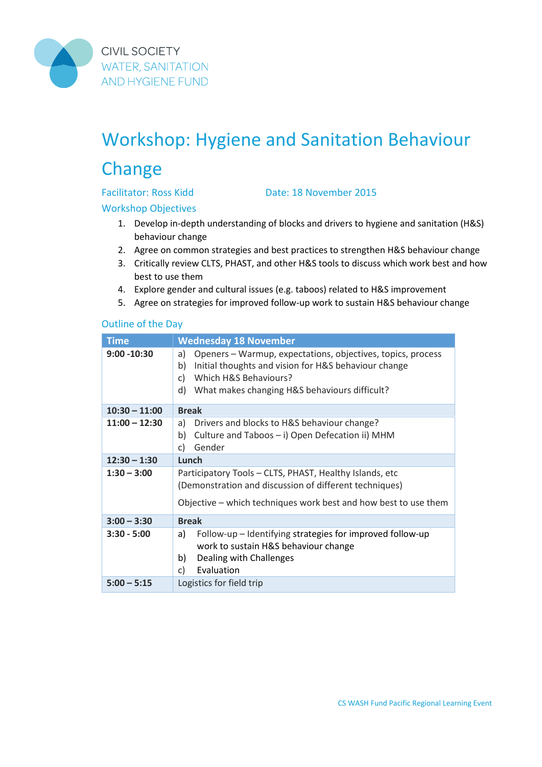

**CIVIL SOCIETY WATER, SANITATION AND HYGIENE FUND** 

# Workshop: Hygiene and Sanitation Behaviour **Change**

Facilitator: Ross Kidd Date: 18 November 2015

Workshop Objectives

- 1. Develop in-depth understanding of blocks and drivers to hygiene and sanitation (H&S) behaviour change
- 2. Agree on common strategies and best practices to strengthen H&S behaviour change
- 3. Critically review CLTS, PHAST, and other H&S tools to discuss which work best and how best to use them
- 4. Explore gender and cultural issues (e.g. taboos) related to H&S improvement
- 5. Agree on strategies for improved follow-up work to sustain H&S behaviour change

#### Outline of the Day

| <b>Time</b>     | <b>Wednesday 18 November</b>                                                                                                                                                                                          |  |
|-----------------|-----------------------------------------------------------------------------------------------------------------------------------------------------------------------------------------------------------------------|--|
| $9:00 - 10:30$  | Openers - Warmup, expectations, objectives, topics, process<br>a)<br>Initial thoughts and vision for H&S behaviour change<br>b)<br>Which H&S Behaviours?<br>C)<br>d)<br>What makes changing H&S behaviours difficult? |  |
| $10:30 - 11:00$ | <b>Break</b>                                                                                                                                                                                                          |  |
| $11:00 - 12:30$ | Drivers and blocks to H&S behaviour change?<br>a)<br>Culture and Taboos - i) Open Defecation ii) MHM<br>b)<br>Gender<br>C)                                                                                            |  |
| $12:30 - 1:30$  | Lunch                                                                                                                                                                                                                 |  |
| $1:30 - 3:00$   | Participatory Tools - CLTS, PHAST, Healthy Islands, etc<br>(Demonstration and discussion of different techniques)                                                                                                     |  |
|                 | Objective – which techniques work best and how best to use them                                                                                                                                                       |  |
| $3:00 - 3:30$   | <b>Break</b>                                                                                                                                                                                                          |  |
| $3:30 - 5:00$   | Follow-up - Identifying strategies for improved follow-up<br>a)<br>work to sustain H&S behaviour change<br>Dealing with Challenges<br>b)<br>Evaluation<br>C)                                                          |  |
| $5:00 - 5:15$   | Logistics for field trip                                                                                                                                                                                              |  |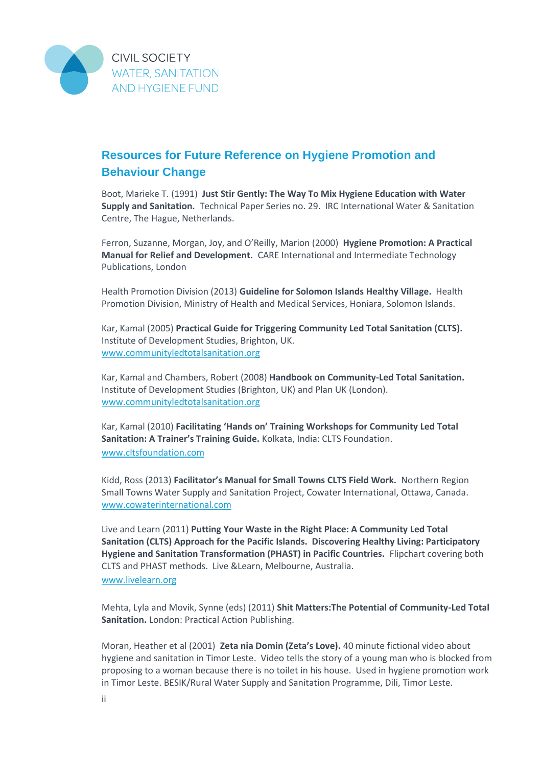

## **Resources for Future Reference on Hygiene Promotion and Behaviour Change**

Boot, Marieke T. (1991) **Just Stir Gently: The Way To Mix Hygiene Education with Water Supply and Sanitation.** Technical Paper Series no. 29. IRC International Water & Sanitation Centre, The Hague, Netherlands.

Ferron, Suzanne, Morgan, Joy, and O'Reilly, Marion (2000) **Hygiene Promotion: A Practical Manual for Relief and Development.** CARE International and Intermediate Technology Publications, London

Health Promotion Division (2013) **Guideline for Solomon Islands Healthy Village.** Health Promotion Division, Ministry of Health and Medical Services, Honiara, Solomon Islands.

Kar, Kamal (2005) **Practical Guide for Triggering Community Led Total Sanitation (CLTS).** Institute of Development Studies, Brighton, UK. www.communityledtotalsanitation.org

Kar, Kamal and Chambers, Robert (2008) **Handbook on Community-Led Total Sanitation.** Institute of Development Studies (Brighton, UK) and Plan UK (London). www.communityledtotalsanitation.org

Kar, Kamal (2010) **Facilitating 'Hands on' Training Workshops for Community Led Total Sanitation: A Trainer's Training Guide.** Kolkata, India: CLTS Foundation. www.cltsfoundation.com

Kidd, Ross (2013) **Facilitator's Manual for Small Towns CLTS Field Work.** Northern Region Small Towns Water Supply and Sanitation Project, Cowater International, Ottawa, Canada. www.cowaterinternational.com

Live and Learn (2011) **Putting Your Waste in the Right Place: A Community Led Total Sanitation (CLTS) Approach for the Pacific Islands. Discovering Healthy Living: Participatory Hygiene and Sanitation Transformation (PHAST) in Pacific Countries.** Flipchart covering both CLTS and PHAST methods. Live &Learn, Melbourne, Australia. www.livelearn.org

Mehta, Lyla and Movik, Synne (eds) (2011) **Shit Matters:The Potential of Community-Led Total Sanitation.** London: Practical Action Publishing.

Moran, Heather et al (2001) **Zeta nia Domin (Zeta's Love).** 40 minute fictional video about hygiene and sanitation in Timor Leste. Video tells the story of a young man who is blocked from proposing to a woman because there is no toilet in his house. Used in hygiene promotion work in Timor Leste. BESIK/Rural Water Supply and Sanitation Programme, Dili, Timor Leste.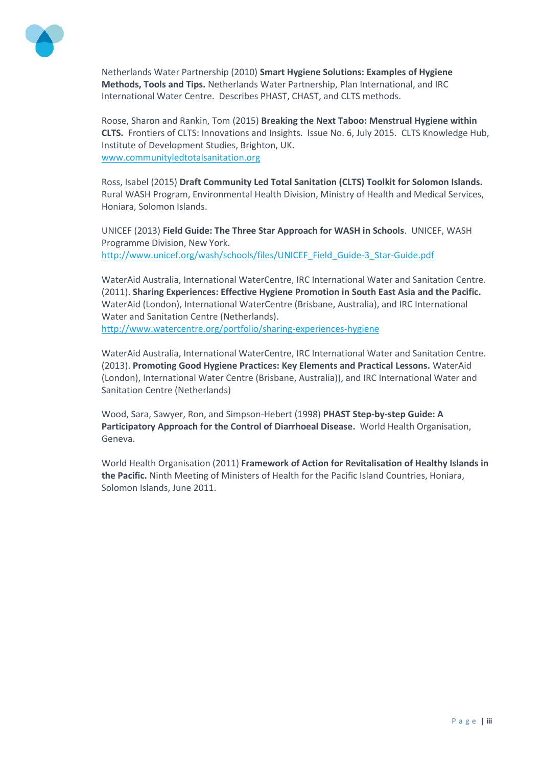

Netherlands Water Partnership (2010) **Smart Hygiene Solutions: Examples of Hygiene Methods, Tools and Tips.** Netherlands Water Partnership, Plan International, and IRC International Water Centre. Describes PHAST, CHAST, and CLTS methods.

Roose, Sharon and Rankin, Tom (2015) **Breaking the Next Taboo: Menstrual Hygiene within CLTS.** Frontiers of CLTS: Innovations and Insights. Issue No. 6, July 2015. CLTS Knowledge Hub, Institute of Development Studies, Brighton, UK. www.communityledtotalsanitation.org

Ross, Isabel (2015) **Draft Community Led Total Sanitation (CLTS) Toolkit for Solomon Islands.** Rural WASH Program, Environmental Health Division, Ministry of Health and Medical Services, Honiara, Solomon Islands.

UNICEF (2013) **Field Guide: The Three Star Approach for WASH in Schools**. UNICEF, WASH Programme Division, New York. http://www.unicef.org/wash/schools/files/UNICEF\_Field\_Guide-3\_Star-Guide.pdf

WaterAid Australia, International WaterCentre, IRC International Water and Sanitation Centre. (2011). **Sharing Experiences: Effective Hygiene Promotion in South East Asia and the Pacific.** WaterAid (London), International WaterCentre (Brisbane, Australia), and IRC International Water and Sanitation Centre (Netherlands). http://www.watercentre.org/portfolio/sharing-experiences-hygiene

WaterAid Australia, International WaterCentre, IRC International Water and Sanitation Centre. (2013). **Promoting Good Hygiene Practices: Key Elements and Practical Lessons.** WaterAid (London), International Water Centre (Brisbane, Australia)), and IRC International Water and Sanitation Centre (Netherlands)

Wood, Sara, Sawyer, Ron, and Simpson-Hebert (1998) **PHAST Step-by-step Guide: A Participatory Approach for the Control of Diarrhoeal Disease.** World Health Organisation, Geneva.

World Health Organisation (2011) **Framework of Action for Revitalisation of Healthy Islands in the Pacific.** Ninth Meeting of Ministers of Health for the Pacific Island Countries, Honiara, Solomon Islands, June 2011.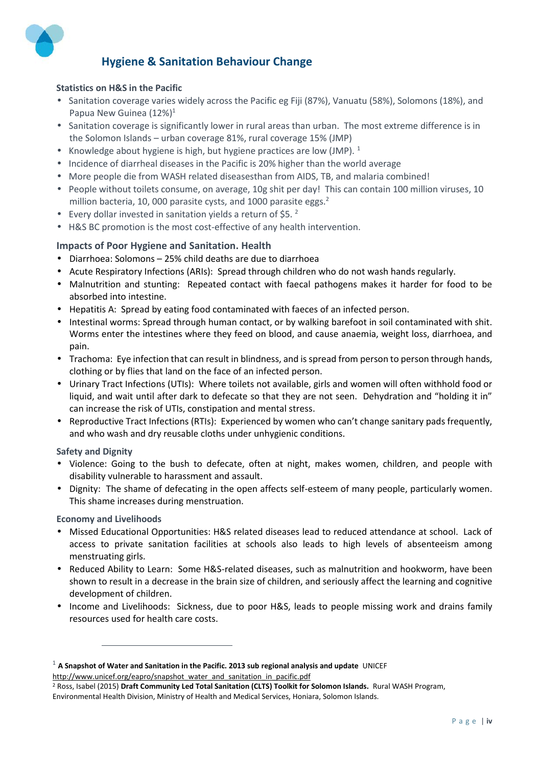

### **Hygiene & Sanitation Behaviour Change**

#### **Statistics on H&S in the Pacific**

- Sanitation coverage varies widely across the Pacific eg Fiji (87%), Vanuatu (58%), Solomons (18%), and Papua New Guinea (12%)<sup>1</sup>
- Sanitation coverage is significantly lower in rural areas than urban. The most extreme difference is in the Solomon Islands – urban coverage 81%, rural coverage 15% (JMP)
- Knowledge about hygiene is high, but hygiene practices are low (JMP).  $1$
- Incidence of diarrheal diseases in the Pacific is 20% higher than the world average
- More people die from WASH related diseasesthan from AIDS, TB, and malaria combined!
- People without toilets consume, on average, 10g shit per day! This can contain 100 million viruses, 10 million bacteria, 10, 000 parasite cysts, and 1000 parasite eggs. $<sup>2</sup>$ </sup>
- Every dollar invested in sanitation yields a return of  $$5.2$
- H&S BC promotion is the most cost-effective of any health intervention.

#### **Impacts of Poor Hygiene and Sanitation. Health**

- Diarrhoea: Solomons 25% child deaths are due to diarrhoea
- Acute Respiratory Infections (ARIs): Spread through children who do not wash hands regularly.
- Malnutrition and stunting: Repeated contact with faecal pathogens makes it harder for food to be absorbed into intestine.
- Hepatitis A: Spread by eating food contaminated with faeces of an infected person.
- Intestinal worms: Spread through human contact, or by walking barefoot in soil contaminated with shit. Worms enter the intestines where they feed on blood, and cause anaemia, weight loss, diarrhoea, and pain.
- Trachoma: Eye infection that can result in blindness, and is spread from person to person through hands, clothing or by flies that land on the face of an infected person.
- Urinary Tract Infections (UTIs): Where toilets not available, girls and women will often withhold food or liquid, and wait until after dark to defecate so that they are not seen. Dehydration and "holding it in" can increase the risk of UTIs, constipation and mental stress.
- Reproductive Tract Infections (RTIs): Experienced by women who can't change sanitary pads frequently, and who wash and dry reusable cloths under unhygienic conditions.

#### **Safety and Dignity**

- Violence: Going to the bush to defecate, often at night, makes women, children, and people with disability vulnerable to harassment and assault.
- Dignity: The shame of defecating in the open affects self-esteem of many people, particularly women. This shame increases during menstruation.

#### **Economy and Livelihoods**

- Missed Educational Opportunities: H&S related diseases lead to reduced attendance at school. Lack of access to private sanitation facilities at schools also leads to high levels of absenteeism among menstruating girls.
- Reduced Ability to Learn: Some H&S-related diseases, such as malnutrition and hookworm, have been shown to result in a decrease in the brain size of children, and seriously affect the learning and cognitive development of children.
- Income and Livelihoods: Sickness, due to poor H&S, leads to people missing work and drains family resources used for health care costs.

<sup>1</sup> **A Snapshot of Water and Sanitation in the Pacific. 2013 sub regional analysis and update** UNICEF http://www.unicef.org/eapro/snapshot\_water\_and\_sanitation\_in\_pacific.pdf

<sup>2</sup> Ross, Isabel (2015) **Draft Community Led Total Sanitation (CLTS) Toolkit for Solomon Islands.** Rural WASH Program, Environmental Health Division, Ministry of Health and Medical Services, Honiara, Solomon Islands.